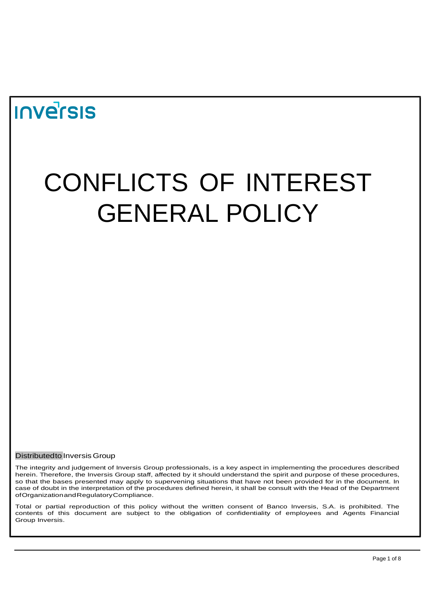## **Inversis**

# CONFLICTS OF INTEREST GENERAL POLICY

Distributedto InversisGroup

The integrity and judgement of Inversis Group professionals, is a key aspect in implementing the procedures described herein. Therefore, the Inversis Group staff, affected by it should understand the spirit and purpose of these procedures, so that the bases presented may apply to supervening situations that have not been provided for in the document. In case of doubt in the interpretation of the procedures defined herein, it shall be consult with the Head of the Department ofOrganizationandRegulatoryCompliance.

Total or partial reproduction of this policy without the written consent of Banco Inversis, S.A. is prohibited. The contents of this document are subject to the obligation of confidentiality of employees and Agents Financial Group Inversis.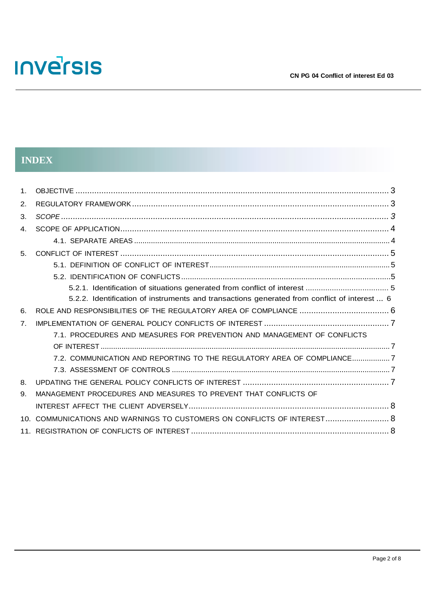## **INDEX**

| $\mathbf 1$ .  |                                                                                              |  |
|----------------|----------------------------------------------------------------------------------------------|--|
| 2.             |                                                                                              |  |
| 3.             |                                                                                              |  |
| $\mathbf{4}$ . |                                                                                              |  |
|                |                                                                                              |  |
| 5 <sub>1</sub> |                                                                                              |  |
|                |                                                                                              |  |
|                |                                                                                              |  |
|                |                                                                                              |  |
|                | 5.2.2. Identification of instruments and transactions generated from conflict of interest  6 |  |
| 6.             |                                                                                              |  |
| 7 <sub>1</sub> |                                                                                              |  |
|                | 7.1. PROCEDURES AND MEASURES FOR PREVENTION AND MANAGEMENT OF CONFLICTS                      |  |
|                |                                                                                              |  |
|                | 7.2. COMMUNICATION AND REPORTING TO THE REGULATORY AREA OF COMPLIANCE7                       |  |
|                |                                                                                              |  |
| 8.             |                                                                                              |  |
| 9.             | MANAGEMENT PROCEDURES AND MEASURES TO PREVENT THAT CONFLICTS OF                              |  |
|                |                                                                                              |  |
| 10 I           | COMMUNICATIONS AND WARNINGS TO CUSTOMERS ON CONFLICTS OF INTEREST 8                          |  |
|                |                                                                                              |  |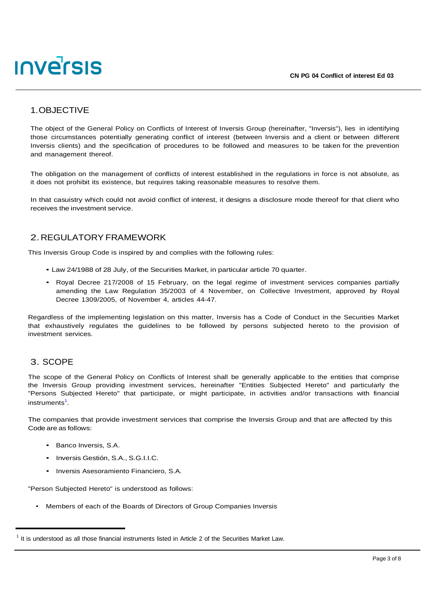## **INVETSIS**

### <span id="page-2-0"></span>1.OBJECTIVE

The object of the General Policy on Conflicts of Interest of Inversis Group (hereinafter, "Inversis"), lies in identifying those circumstances potentially generating conflict of interest (between Inversis and a client or between different Inversis clients) and the specification of procedures to be followed and measures to be taken for the prevention and management thereof.

The obligation on the management of conflicts of interest established in the regulations in force is not absolute, as it does not prohibit its existence, but requires taking reasonable measures to resolve them.

In that casuistry which could not avoid conflict of interest, it designs a disclosure mode thereof for that client who receives the investment service.

#### <span id="page-2-1"></span>2.REGULATORY FRAMEWORK

This Inversis Group Code is inspired by and complies with the following rules:

- Law 24/1988 of 28 July, of the Securities Market, in particular article 70 quarter.
- Royal Decree 217/2008 of 15 February, on the legal regime of investment services companies partially amending the Law Regulation 35/2003 of 4 November, on Collective Investment, approved by Royal Decree 1309/2005, of November 4, articles 44-47.

Regardless of the implementing legislation on this matter, Inversis has a Code of Conduct in the Securities Market that exhaustively regulates the guidelines to be followed by persons subjected hereto to the provision of investment services.

#### <span id="page-2-2"></span>3. SCOPE

The scope of the General Policy on Conflicts of Interest shall be generally applicable to the entities that comprise the Inversis Group providing investment services, hereinafter "Entities Subjected Hereto" and particularly the "Persons Subjected Hereto" that participate, or might participate, in activities and/or transactions with financial instruments<sup>1</sup>.

The companies that provide investment services that comprise the Inversis Group and that are affected by this Code are as follows:

- Banco Inversis, S.A.
- Inversis Gestión, S.A., S.G.I.I.C.
- Inversis Asesoramiento Financiero, S.A.

"Person Subjected Hereto" is understood as follows:

• Members of each of the Boards of Directors of Group Companies Inversis

<sup>1</sup> It is understood as all those financial instruments listed in Article 2 of the Securities Market Law.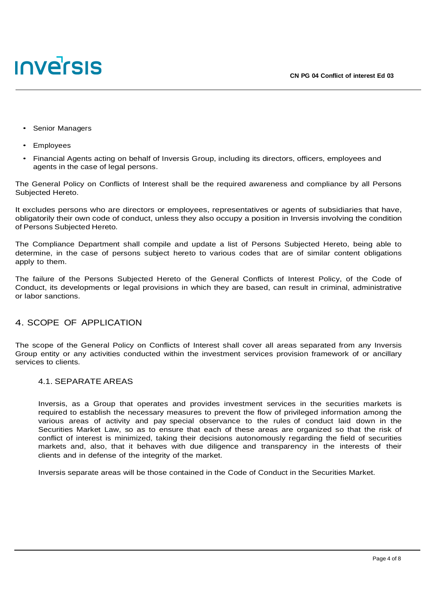

- Senior Managers
- **Employees**
- Financial Agents acting on behalf of Inversis Group, including its directors, officers, employees and agents in the case of legal persons.

The General Policy on Conflicts of Interest shall be the required awareness and compliance by all Persons Subjected Hereto.

It excludes persons who are directors or employees, representatives or agents of subsidiaries that have, obligatorily their own code of conduct, unless they also occupy a position in Inversis involving the condition of Persons Subjected Hereto.

The Compliance Department shall compile and update a list of Persons Subjected Hereto, being able to determine, in the case of persons subject hereto to various codes that are of similar content obligations apply to them.

The failure of the Persons Subjected Hereto of the General Conflicts of Interest Policy, of the Code of Conduct, its developments or legal provisions in which they are based, can result in criminal, administrative or labor sanctions.

#### <span id="page-3-0"></span>4. SCOPE OF APPLICATION

The scope of the General Policy on Conflicts of Interest shall cover all areas separated from any Inversis Group entity or any activities conducted within the investment services provision framework of or ancillary services to clients.

#### 4.1. SEPARATE AREAS

Inversis, as a Group that operates and provides investment services in the securities markets is required to establish the necessary measures to prevent the flow of privileged information among the various areas of activity and pay special observance to the rules of conduct laid down in the Securities Market Law, so as to ensure that each of these areas are organized so that the risk of conflict of interest is minimized, taking their decisions autonomously regarding the field of securities markets and, also, that it behaves with due diligence and transparency in the interests of their clients and in defense of the integrity of the market.

Inversis separate areas will be those contained in the Code of Conduct in the Securities Market.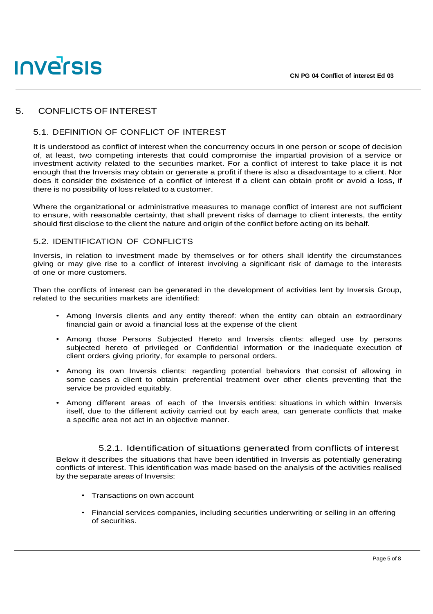## **INVETSIS**

#### 5. CONFLICTS OF INTEREST

#### 5.1. DEFINITION OF CONFLICT OF INTEREST

It is understood as conflict of interest when the concurrency occurs in one person or scope of decision of, at least, two competing interests that could compromise the impartial provision of a service or investment activity related to the securities market. For a conflict of interest to take place it is not enough that the Inversis may obtain or generate a profit if there is also a disadvantage to a client. Nor does it consider the existence of a conflict of interest if a client can obtain profit or avoid a loss, if there is no possibility of loss related to a customer.

Where the organizational or administrative measures to manage conflict of interest are not sufficient to ensure, with reasonable certainty, that shall prevent risks of damage to client interests, the entity should first disclose to the client the nature and origin of the conflict before acting on its behalf.

#### 5.2. IDENTIFICATION OF CONFLICTS

Inversis, in relation to investment made by themselves or for others shall identify the circumstances giving or may give rise to a conflict of interest involving a significant risk of damage to the interests of one or more customers.

Then the conflicts of interest can be generated in the development of activities lent by Inversis Group, related to the securities markets are identified:

- Among Inversis clients and any entity thereof: when the entity can obtain an extraordinary financial gain or avoid a financial loss at the expense of the client
- Among those Persons Subjected Hereto and Inversis clients: alleged use by persons subjected hereto of privileged or Confidential information or the inadequate execution of client orders giving priority, for example to personal orders.
- Among its own Inversis clients: regarding potential behaviors that consist of allowing in some cases a client to obtain preferential treatment over other clients preventing that the service be provided equitably.
- Among different areas of each of the Inversis entities: situations in which within Inversis itself, due to the different activity carried out by each area, can generate conflicts that make a specific area not act in an objective manner.

#### 5.2.1. Identification of situations generated from conflicts of interest

Below it describes the situations that have been identified in Inversis as potentially generating conflicts of interest. This identification was made based on the analysis of the activities realised by the separate areas of Inversis:

- Transactions on own account
- Financial services companies, including securities underwriting or selling in an offering of securities.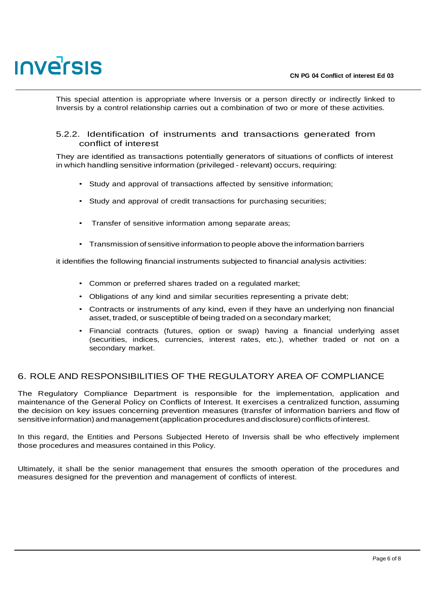This special attention is appropriate where Inversis or a person directly or indirectly linked to Inversis by a control relationship carries out a combination of two or more of these activities.

#### 5.2.2. Identification of instruments and transactions generated from conflict of interest

They are identified as transactions potentially generators of situations of conflicts of interest in which handling sensitive information (privileged - relevant) occurs, requiring:

- Study and approval of transactions affected by sensitive information;
- Study and approval of credit transactions for purchasing securities;
- Transfer of sensitive information among separate areas;
- Transmission of sensitive information to people above the information barriers

it identifies the following financial instruments subjected to financial analysis activities:

- Common or preferred shares traded on a regulated market;
- Obligations of any kind and similar securities representing a private debt;
- Contracts or instruments of any kind, even if they have an underlying non financial asset, traded, or susceptible of being traded on a secondary market;
- Financial contracts (futures, option or swap) having a financial underlying asset (securities, indices, currencies, interest rates, etc.), whether traded or not on a secondary market.

#### 6. ROLE AND RESPONSIBILITIES OF THE REGULATORY AREA OF COMPLIANCE

The Regulatory Compliance Department is responsible for the implementation, application and maintenance of the General Policy on Conflicts of Interest. It exercises a centralized function, assuming the decision on key issues concerning prevention measures (transfer of information barriers and flow of sensitive information) and management(application procedures and disclosure) conflicts ofinterest.

In this regard, the Entities and Persons Subjected Hereto of Inversis shall be who effectively implement those procedures and measures contained in this Policy.

Ultimately, it shall be the senior management that ensures the smooth operation of the procedures and measures designed for the prevention and management of conflicts of interest.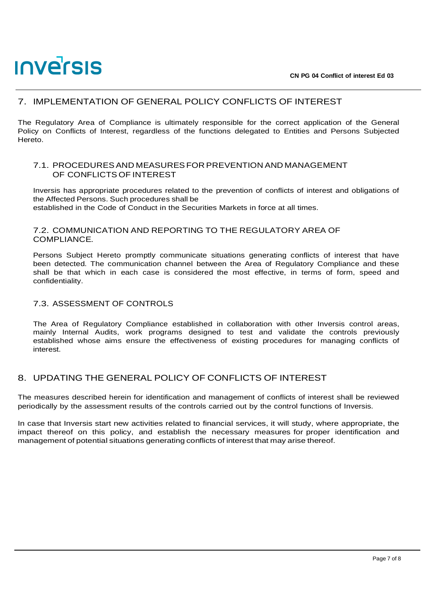#### <span id="page-6-0"></span>7. IMPLEMENTATION OF GENERAL POLICY CONFLICTS OF INTEREST

The Regulatory Area of Compliance is ultimately responsible for the correct application of the General Policy on Conflicts of Interest, regardless of the functions delegated to Entities and Persons Subjected Hereto.

#### 7.1. PROCEDURESAND MEASURESFOR PREVENTION AND MANAGEMENT OF CONFLICTS OF INTEREST

Inversis has appropriate procedures related to the prevention of conflicts of interest and obligations of the Affected Persons. Such procedures shall be established in the Code of Conduct in the Securities Markets in force at all times.

#### 7.2. COMMUNICATION AND REPORTING TO THE REGULATORY AREA OF COMPLIANCE.

Persons Subject Hereto promptly communicate situations generating conflicts of interest that have been detected. The communication channel between the Area of Regulatory Compliance and these shall be that which in each case is considered the most effective, in terms of form, speed and confidentiality.

#### 7.3. ASSESSMENT OF CONTROLS

The Area of Regulatory Compliance established in collaboration with other Inversis control areas, mainly Internal Audits, work programs designed to test and validate the controls previously established whose aims ensure the effectiveness of existing procedures for managing conflicts of interest.

#### 8. UPDATING THE GENERAL POLICY OF CONFLICTS OF INTEREST

The measures described herein for identification and management of conflicts of interest shall be reviewed periodically by the assessment results of the controls carried out by the control functions of Inversis.

In case that Inversis start new activities related to financial services, it will study, where appropriate, the impact thereof on this policy, and establish the necessary measures for proper identification and management of potential situations generating conflicts of interest that may arise thereof.